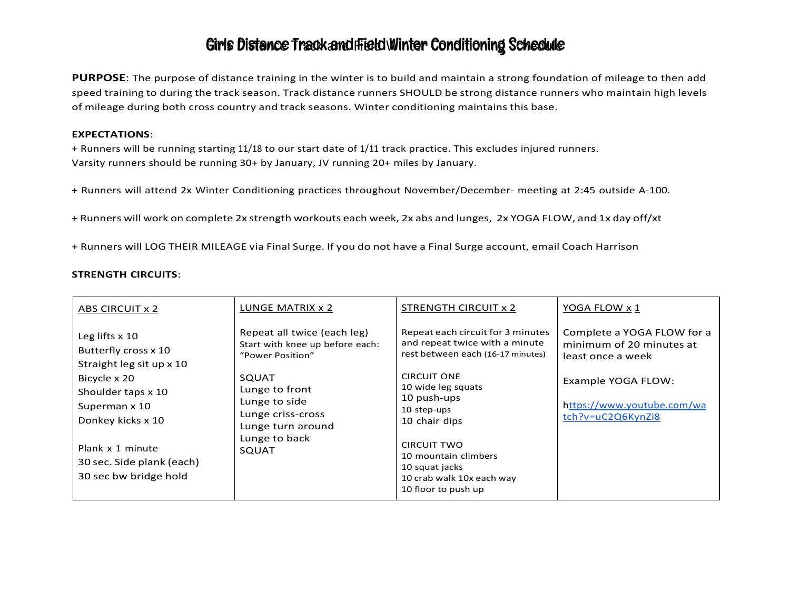PURPOSE: The purpose of distance training in the winter is to build and maintain a strong foundation of mileage to then add speed training to during the track season. Track distance runners SHOULD be strong distance runners who maintain high levels of mileage during both cross country and track seasons. Winter conditioning maintains this base.

#### EXPECTATIONS:

+ Runners will be running starting 11/18 to our start date of 1/11 track practice. This excludes injured runners. Varsity runners should be running 30+ by January, JV running 20+ miles by January.

- + Runners will attend 2x Winter Conditioning practices throughout November/December- meeting at 2:45 outside A-100.
- + Runners will work on complete 2x strength workouts each week, 2x abs and lunges, 2x YOGA FLOW, and 1x day off/xt
- + Runners will LOG THEIR MILEAGE via Final Surge. If you do not have a Final Surge account, email Coach Harrison

#### STRENGTH CIRCUITS:

| Repeat each circuit for 3 minutes<br>Complete a YOGA FLOW for a<br>Repeat all twice (each leg)<br>Leg lifts $x$ 10<br>and repeat twice with a minute<br>Start with knee up before each:<br>minimum of 20 minutes at<br>Butterfly cross x 10<br>rest between each (16-17 minutes)<br>"Power Position"<br>least once a week<br>Straight leg sit up x 10<br><b>CIRCUIT ONE</b><br><b>SQUAT</b><br>Bicycle x 20<br>Example YOGA FLOW:<br>10 wide leg squats<br>Lunge to front<br>Shoulder taps x 10<br>10 push-ups<br>Lunge to side<br>https://www.youtube.com/wa<br>Superman x 10<br>10 step-ups<br>Lunge criss-cross | ABS CIRCUIT x 2   | LUNGE MATRIX x 2 | STRENGTH CIRCUIT x 2 | YOGA FLOW x 1     |
|--------------------------------------------------------------------------------------------------------------------------------------------------------------------------------------------------------------------------------------------------------------------------------------------------------------------------------------------------------------------------------------------------------------------------------------------------------------------------------------------------------------------------------------------------------------------------------------------------------------------|-------------------|------------------|----------------------|-------------------|
| Lunge turn around<br>Lunge to back<br><b>CIRCUIT TWO</b><br>Plank x 1 minute<br><b>SQUAT</b><br>10 mountain climbers<br>30 sec. Side plank (each)<br>10 squat jacks<br>30 sec bw bridge hold<br>10 crab walk 10x each way<br>10 floor to push up                                                                                                                                                                                                                                                                                                                                                                   | Donkey kicks x 10 |                  | 10 chair dips        | tch?v=uC2Q6KynZi8 |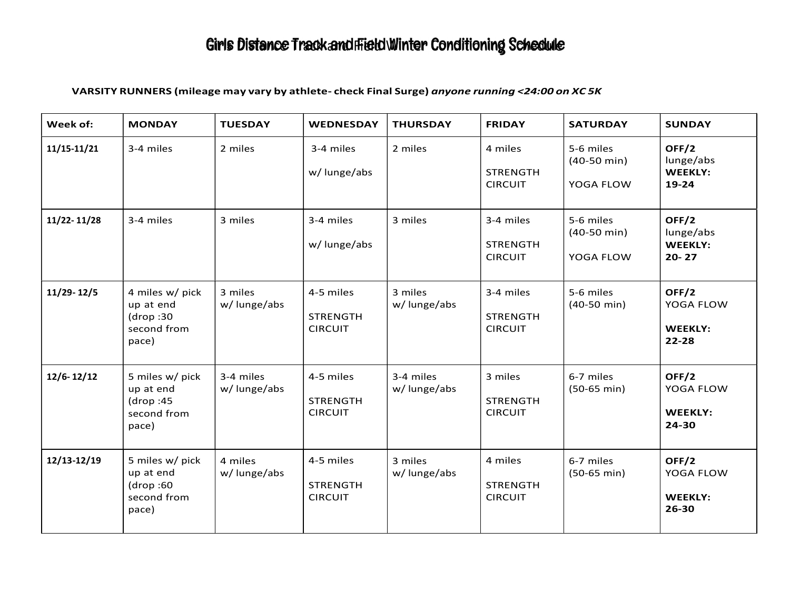### VARSITY RUNNERS (mileage may vary by athlete- check Final Surge) anyone running <24:00 on XC 5K

| Week of:       | <b>MONDAY</b>                                                     | <b>TUESDAY</b>           | <b>WEDNESDAY</b>                               | <b>THURSDAY</b>          | <b>FRIDAY</b>                                  | <b>SATURDAY</b>                                 | <b>SUNDAY</b>                                     |
|----------------|-------------------------------------------------------------------|--------------------------|------------------------------------------------|--------------------------|------------------------------------------------|-------------------------------------------------|---------------------------------------------------|
| 11/15-11/21    | 3-4 miles                                                         | 2 miles                  | 3-4 miles<br>w/ lunge/abs                      | 2 miles                  | 4 miles<br><b>STRENGTH</b><br><b>CIRCUIT</b>   | 5-6 miles<br>$(40-50 \text{ min})$<br>YOGA FLOW | OFF/2<br>lunge/abs<br><b>WEEKLY:</b><br>19-24     |
| 11/22-11/28    | 3-4 miles                                                         | 3 miles                  | 3-4 miles<br>w/ lunge/abs                      | 3 miles                  | 3-4 miles<br><b>STRENGTH</b><br><b>CIRCUIT</b> | 5-6 miles<br>$(40-50 \text{ min})$<br>YOGA FLOW | OFF/2<br>lunge/abs<br><b>WEEKLY:</b><br>$20 - 27$ |
| $11/29 - 12/5$ | 4 miles w/ pick<br>up at end<br>(drop:30)<br>second from<br>pace) | 3 miles<br>w/ lunge/abs  | 4-5 miles<br><b>STRENGTH</b><br><b>CIRCUIT</b> | 3 miles<br>w/lunge/abs   | 3-4 miles<br><b>STRENGTH</b><br><b>CIRCUIT</b> | 5-6 miles<br>$(40-50 \text{ min})$              | OFF/2<br>YOGA FLOW<br><b>WEEKLY:</b><br>22-28     |
| $12/6 - 12/12$ | 5 miles w/ pick<br>up at end<br>(drop:45)<br>second from<br>pace) | 3-4 miles<br>w/lunge/abs | 4-5 miles<br><b>STRENGTH</b><br><b>CIRCUIT</b> | 3-4 miles<br>w/lunge/abs | 3 miles<br><b>STRENGTH</b><br><b>CIRCUIT</b>   | 6-7 miles<br>$(50-65 \text{ min})$              | OFF/2<br>YOGA FLOW<br><b>WEEKLY:</b><br>24-30     |
| 12/13-12/19    | 5 miles w/ pick<br>up at end<br>(drop:60)<br>second from<br>pace) | 4 miles<br>w/lunge/abs   | 4-5 miles<br><b>STRENGTH</b><br><b>CIRCUIT</b> | 3 miles<br>w/lunge/abs   | 4 miles<br><b>STRENGTH</b><br><b>CIRCUIT</b>   | 6-7 miles<br>$(50-65 \text{ min})$              | OFF/2<br>YOGA FLOW<br>WEEKLY:<br>26-30            |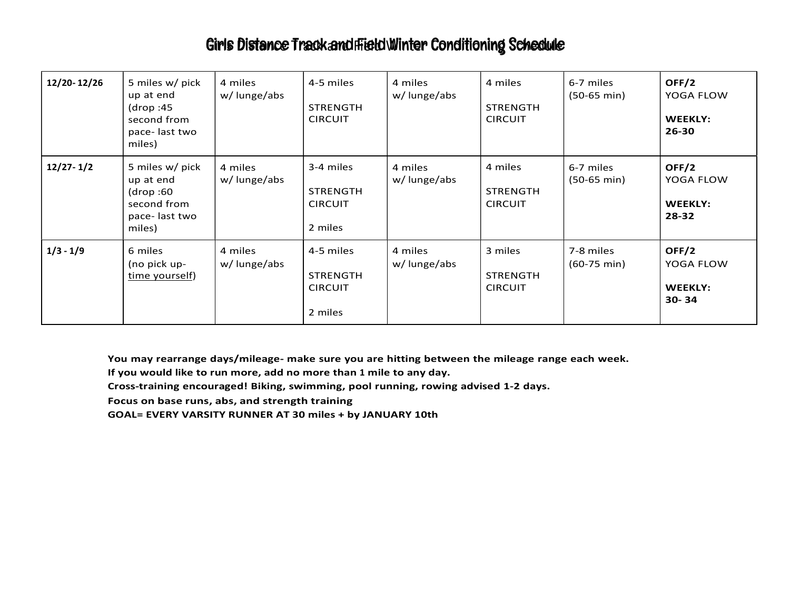| 12/20-12/26   | 5 miles w/ pick<br>up at end<br>(drop:45<br>second from<br>pace-last two<br>miles)  | 4 miles<br>w/ lunge/abs | 4-5 miles<br>STRENGTH<br><b>CIRCUIT</b>                   | 4 miles<br>w/lunge/abs | 4 miles<br><b>STRENGTH</b><br><b>CIRCUIT</b> | 6-7 miles<br>$(50-65 \text{ min})$ | OFF/2<br>YOGA FLOW<br><b>WEEKLY:</b><br>26-30 |
|---------------|-------------------------------------------------------------------------------------|-------------------------|-----------------------------------------------------------|------------------------|----------------------------------------------|------------------------------------|-----------------------------------------------|
| $12/27 - 1/2$ | 5 miles w/ pick<br>up at end<br>(drop:60)<br>second from<br>pace-last two<br>miles) | 4 miles<br>w/lunge/abs  | 3-4 miles<br><b>STRENGTH</b><br><b>CIRCUIT</b><br>2 miles | 4 miles<br>w/lunge/abs | 4 miles<br><b>STRENGTH</b><br><b>CIRCUIT</b> | 6-7 miles<br>$(50-65 \text{ min})$ | OFF/2<br>YOGA FLOW<br><b>WEEKLY:</b><br>28-32 |
| $1/3 - 1/9$   | 6 miles<br>(no pick up-<br>time yourself)                                           | 4 miles<br>w/lunge/abs  | 4-5 miles<br><b>STRENGTH</b><br><b>CIRCUIT</b><br>2 miles | 4 miles<br>w/lunge/abs | 3 miles<br><b>STRENGTH</b><br><b>CIRCUIT</b> | 7-8 miles<br>$(60-75 \text{ min})$ | OFF/2<br>YOGA FLOW<br><b>WEEKLY:</b><br>30-34 |

You may rearrange days/mileage- make sure you are hitting between the mileage range each week.

If you would like to run more, add no more than 1 mile to any day.

Cross-training encouraged! Biking, swimming, pool running, rowing advised 1-2 days.

Focus on base runs, abs, and strength training

GOAL= EVERY VARSITY RUNNER AT 30 miles + by JANUARY 10th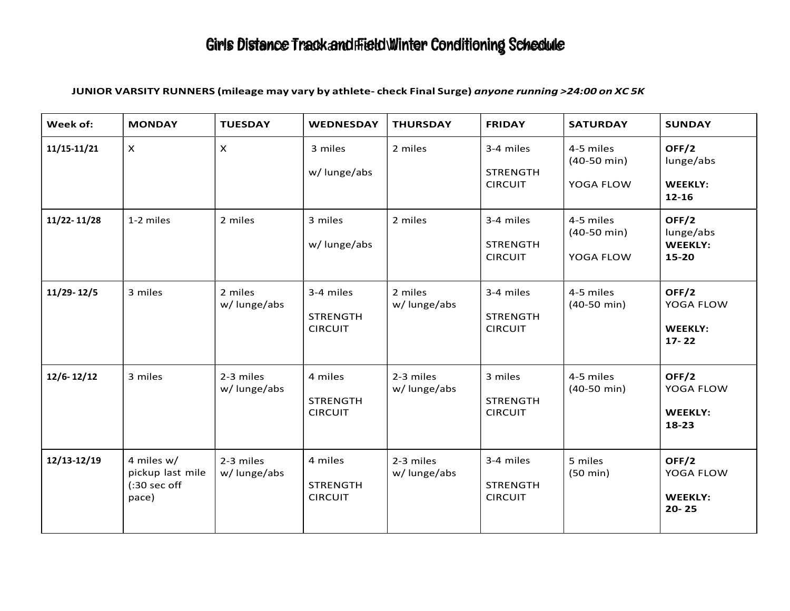### JUNIOR VARSITY RUNNERS (mileage may vary by athlete- check Final Surge) anyone running >24:00 on XC 5K

| Week of:       | <b>MONDAY</b>                                                      | <b>TUESDAY</b>           | WEDNESDAY                                      | <b>THURSDAY</b>          | <b>FRIDAY</b>                                  | <b>SATURDAY</b>                                 | <b>SUNDAY</b>                                     |
|----------------|--------------------------------------------------------------------|--------------------------|------------------------------------------------|--------------------------|------------------------------------------------|-------------------------------------------------|---------------------------------------------------|
| 11/15-11/21    | $\mathsf{X}$                                                       | $\pmb{\times}$           | 3 miles<br>w/lunge/abs                         | 2 miles                  | 3-4 miles<br><b>STRENGTH</b><br><b>CIRCUIT</b> | 4-5 miles<br>$(40-50 \text{ min})$<br>YOGA FLOW | OFF/2<br>lunge/abs<br><b>WEEKLY:</b><br>$12 - 16$ |
| 11/22-11/28    | 1-2 miles                                                          | 2 miles                  | 3 miles<br>w/lunge/abs                         | 2 miles                  | 3-4 miles<br><b>STRENGTH</b><br><b>CIRCUIT</b> | 4-5 miles<br>$(40-50 \text{ min})$<br>YOGA FLOW | OFF/2<br>lunge/abs<br><b>WEEKLY:</b><br>15-20     |
| 11/29-12/5     | 3 miles                                                            | 2 miles<br>w/lunge/abs   | 3-4 miles<br><b>STRENGTH</b><br><b>CIRCUIT</b> | 2 miles<br>w/lunge/abs   | 3-4 miles<br><b>STRENGTH</b><br><b>CIRCUIT</b> | 4-5 miles<br>$(40-50 \text{ min})$              | OFF/2<br>YOGA FLOW<br>WEEKLY:<br>$17 - 22$        |
| $12/6 - 12/12$ | 3 miles                                                            | 2-3 miles<br>w/lunge/abs | 4 miles<br><b>STRENGTH</b><br><b>CIRCUIT</b>   | 2-3 miles<br>w/lunge/abs | 3 miles<br><b>STRENGTH</b><br><b>CIRCUIT</b>   | 4-5 miles<br>$(40-50 \text{ min})$              | OFF/2<br>YOGA FLOW<br><b>WEEKLY:</b><br>18-23     |
| 12/13-12/19    | 4 miles w/<br>pickup last mile<br>$(:30 \text{ sec off})$<br>pace) | 2-3 miles<br>w/lunge/abs | 4 miles<br><b>STRENGTH</b><br><b>CIRCUIT</b>   | 2-3 miles<br>w/lunge/abs | 3-4 miles<br><b>STRENGTH</b><br><b>CIRCUIT</b> | 5 miles<br>$(50 \text{ min})$                   | OFF/2<br>YOGA FLOW<br><b>WEEKLY:</b><br>$20 - 25$ |